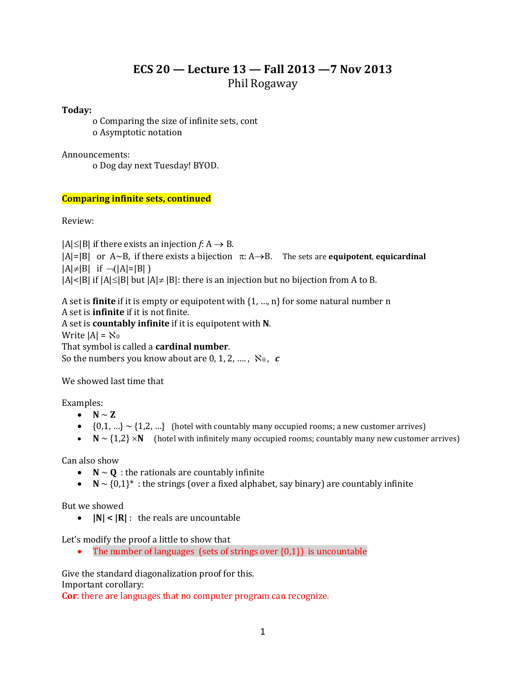# **ECS 20 — Lecture 13 — Fall 2013 —7 Nov 2013** Phil Rogaway

**Today:** 

o Comparing the size of infinite sets, cont o Asymptotic notation

Announcements:

o Dog day next Tuesday! BYOD.

# **Comparing infinite sets, continued**

Review:

 $|A| \leq |B|$  if there exists an injection *f*: A  $\rightarrow$  B.

 $|A|=|B|$  or  $A \sim B$ , if there exists a bijection  $\pi: A \rightarrow B$ . The sets are **equipotent**, **equicardinal**  $|A| \neq |B|$  if  $\neg(|A|=|B|)$ 

 $|A| < |B|$  if  $|A| \le |B|$  but  $|A| \ne |B|$ : there is an injection but no bijection from A to B.

A set is **finite** if it is empty or equipotent with {1, …, n} for some natural number n A set is **infinite** if it is not finite. A set is **countably infinite** if it is equipotent with **N**.

Write  $|A| = \aleph_0$ That symbol is called a **cardinal number**. So the numbers you know about are  $0, 1, 2, \ldots$ ,  $\aleph_0$ ,  $c$ 

We showed last time that

Examples:

•  $N \sim Z$ 

- $\bullet$  {0,1, ...}  $\sim$  {1,2, ...} (hotel with countably many occupied rooms; a new customer arrives)
- $N \sim \{1,2\} \times N$  (hotel with infinitely many occupied rooms; countably many new customer arrives)

Can also show

- $N \sim Q$  : the rationals are countably infinite
- $\bullet$   $\mathbb{N} \sim \{0,1\}^*$ : the strings (over a fixed alphabet, say binary) are countably infinite

But we showed

**|N| < |R|** : the reals are uncountable

Let's modify the proof a little to show that

• The number of languages (sets of strings over  $\{0,1\}$ ) is uncountable

Give the standard diagonalization proof for this. Important corollary:

**Cor**: there are languages that no computer program can recognize.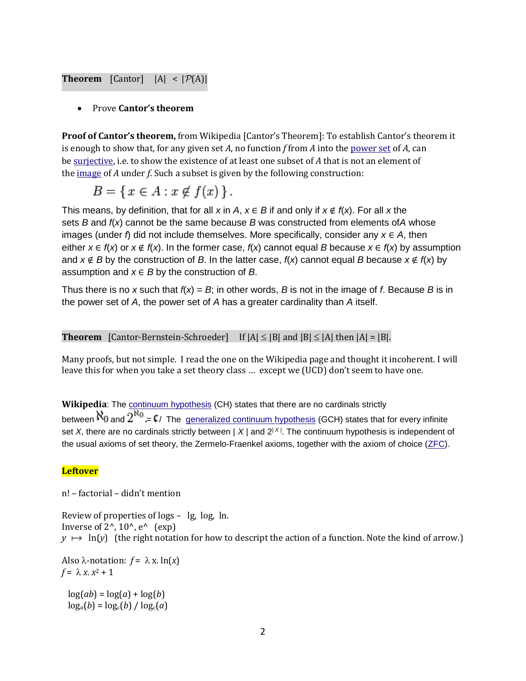# **Theorem** [Cantor]  $|A| < |\mathcal{P}(A)|$

#### Prove **Cantor's theorem**

**Proof of Cantor's theorem,** from Wikipedia [Cantor's Theorem]: To establish Cantor's theorem it is enough to show that, for any given set *A*, no function *f* from *A* into the [power set](http://en.wikipedia.org/wiki/Power_set) of *A*, can be [surjective,](http://en.wikipedia.org/wiki/Surjective_function) i.e. to show the existence of at least one subset of *A* that is not an element of the [image](http://en.wikipedia.org/wiki/Image_(mathematics)) of *A* under *f*. Such a subset is given by the following construction:

$$
B = \{ x \in A : x \notin f(x) \}.
$$

This means, by definition, that for all *x* in *A*,  $x \in B$  if and only if  $x \notin f(x)$ . For all *x* the sets *B* and *f*(*x*) cannot be the same because *B* was constructed from elements of*A* whose images (under *f*) did not include themselves. More specifically, consider any  $x \in A$ , then either  $x \in f(x)$  or  $x \notin f(x)$ . In the former case,  $f(x)$  cannot equal *B* because  $x \in f(x)$  by assumption and  $x \notin B$  by the construction of *B*. In the latter case,  $f(x)$  cannot equal *B* because  $x \notin f(x)$  by assumption and  $x \in B$  by the construction of  $B$ .

Thus there is no *x* such that  $f(x) = B$ ; in other words, *B* is not in the image of *f*. Because *B* is in the power set of *A*, the power set of *A* has a greater cardinality than *A* itself.

# **Theorem** [Cantor-Bernstein-Schroeder] If  $|A| \leq |B|$  and  $|B| \leq |A|$  then  $|A| = |B|$ .

Many proofs, but not simple. I read the one on the Wikipedia page and thought it incoherent. I will leave this for when you take a set theory class … except we (UCD) don't seem to have one.

**Wikipedia**: The [continuum hypothesis](http://en.wikipedia.org/wiki/Continuum_hypothesis) (CH) states that there are no cardinals strictly between  $\aleph_0$  and  $2^{\aleph_0}$  =  $\mathfrak{c}_1$  The [generalized continuum hypothesis](http://en.wikipedia.org/wiki/Generalized_continuum_hypothesis) (GCH) states that for every infinite set *X*, there are no cardinals strictly between | *X* | and 2<sup>| X</sup> |. The continuum hypothesis is independent of the usual axioms of set theory, the Zermelo-Fraenkel axioms, together with the axiom of choice [\(ZFC\)](http://en.wikipedia.org/wiki/Zermelo-Fraenkel_set_theory).

### **Leftover**

n! – factorial – didn't mention

Review of properties of logs – lg, log, ln. Inverse of  $2^{\wedge}$ ,  $10^{\wedge}$ ,  $e^{\wedge}$  (exp)  $y \mapsto \ln(y)$  (the right notation for how to descript the action of a function. Note the kind of arrow.)

Also  $\lambda$ -notation:  $f = \lambda x \cdot \ln(x)$  $f = \lambda x \cdot x^2 + 1$ 

 $log(ab) = log(a) + log(b)$  $\log_a(b) = \log_c(b) / \log_c(a)$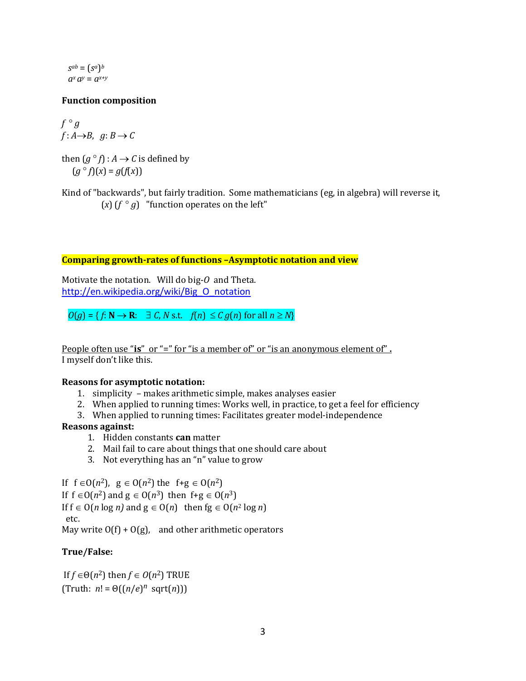$S^{ab} = (S^a)^b$  $a^x a^y = a^{x+y}$ 

# **Function composition**

 $f \circ g$  $f: A \rightarrow B$ ,  $g: B \rightarrow C$ 

then  $(g \circ f) : A \to C$  is defined by  $(g^{\circ} f)(x) = g(f(x))$ 

Kind of "backwards", but fairly tradition. Some mathematicians (eg, in algebra) will reverse it, (*x*) ( $f \circ g$ ) "function operates on the left"

#### **Comparing growth-rates of functions –Asymptotic notation and view**

Motivate the notation. Will do big-*O* and Theta. [http://en.wikipedia.org/wiki/Big\\_O\\_notation](http://en.wikipedia.org/wiki/Big_O_notation)

 $O(g) = \{f: \mathbb{N} \to \mathbb{R}: \exists C, N \text{ s.t. } f(n) \leq C g(n) \text{ for all } n \geq N\}$ 

People often use "**is**" or "=" for "is a member of" or "is an anonymous element of" **.** I myself don't like this.

#### **Reasons for asymptotic notation:**

- 1. simplicity makes arithmetic simple, makes analyses easier
- 2. When applied to running times: Works well, in practice, to get a feel for efficiency
- 3. When applied to running times: Facilitates greater model-independence

### **Reasons against:**

- 1. Hidden constants **can** matter
- 2. Mail fail to care about things that one should care about
- 3. Not everything has an "n" value to grow

If  $f \in O(n^2)$ ,  $g \in O(n^2)$  the  $f+g \in O(n^2)$ If  $f \in O(n^2)$  and  $g \in O(n^3)$  then  $f+g \in O(n^3)$ If  $f \in O(n \log n)$  and  $g \in O(n)$  then  $fg \in O(n^2 \log n)$ etc.

May write  $O(f) + O(g)$ , and other arithmetic operators

# **True/False:**

If  $f \in \Theta(n^2)$  then  $f \in O(n^2)$  TRUE  $(Truth: n! = \Theta((n/e)^n \text{ sqrt}(n)))$